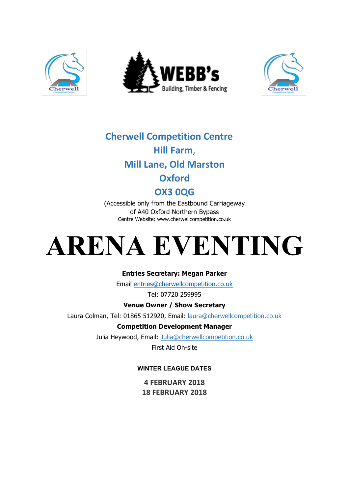





## **Cherwell Competition Centre Hill Farm**, **Mill Lane, Old Marston**

## **Oxford**

### **OX3 0QG**

(Accessible only from the Eastbound Carriageway of A40 Oxford Northern Bypass Centre Website: www.cherwellcompetition.co.uk

# **ARENA EVENTING**

#### **Entries Secretary: Megan Parker**

Email entries@cherwellcompetition.co.uk

Tel: 07720 259995

#### **Venue Owner / Show Secretary**

Laura Colman, Tel: 01865 512920, Email: laura@cherwellcompetition.co.uk

#### **Competition Development Manager**

Julia Heywood, Email: Julia@cherwellcompetition.co.uk

First Aid On-site

#### **WINTER LEAGUE DATES**

**4 FEBRUARY 2018 18 FEBRUARY 2018**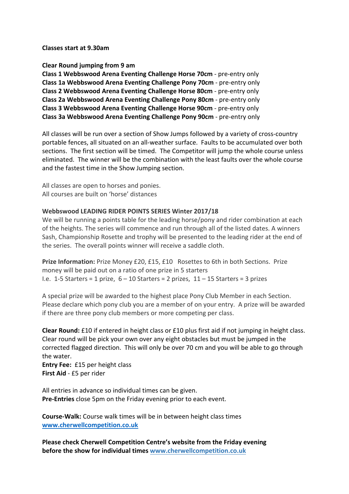**Classes start at 9.30am**

**Clear Round jumping from 9 am**

**Class 1 Webbswood Arena Eventing Challenge Horse 70cm - pre-entry only Class 1a Webbswood Arena Eventing Challenge Pony 70cm** - pre-entry only **Class 2 Webbswood Arena Eventing Challenge Horse 80cm - pre-entry only Class 2a Webbswood Arena Eventing Challenge Pony 80cm - pre-entry only Class 3 Webbswood Arena Eventing Challenge Horse 90cm - pre-entry only Class 3a Webbswood Arena Eventing Challenge Pony 90cm** - pre-entry only

All classes will be run over a section of Show Jumps followed by a variety of cross-country portable fences, all situated on an all-weather surface. Faults to be accumulated over both sections. The first section will be timed. The Competitor will jump the whole course unless eliminated. The winner will be the combination with the least faults over the whole course and the fastest time in the Show Jumping section.

All classes are open to horses and ponies. All courses are built on 'horse' distances

#### Webbswood LEADING RIDER POINTS SERIES Winter 2017/18

We will be running a points table for the leading horse/pony and rider combination at each of the heights. The series will commence and run through all of the listed dates. A winners Sash, Championship Rosette and trophy will be presented to the leading rider at the end of the series. The overall points winner will receive a saddle cloth.

**Prize Information:** Prize Money £20, £15, £10 Rosettes to 6th in both Sections. Prize money will be paid out on a ratio of one prize in 5 starters I.e.  $1-5$  Starters = 1 prize,  $6-10$  Starters = 2 prizes,  $11-15$  Starters = 3 prizes

A special prize will be awarded to the highest place Pony Club Member in each Section. Please declare which pony club you are a member of on your entry. A prize will be awarded if there are three pony club members or more competing per class.

**Clear Round:** £10 if entered in height class or £10 plus first aid if not jumping in height class. Clear round will be pick your own over any eight obstacles but must be jumped in the corrected flagged direction. This will only be over 70 cm and you will be able to go through the water.

**Entry Fee:** £15 per height class **First Aid** - £5 per rider

All entries in advance so individual times can be given. **Pre-Entries** close 5pm on the Friday evening prior to each event.

**Course-Walk:** Course walk times will be in between height class times **www.cherwellcompetition.co.uk**

**Please check Cherwell Competition Centre's website from the Friday evening before the show for individual times www.cherwellcompetition.co.uk**